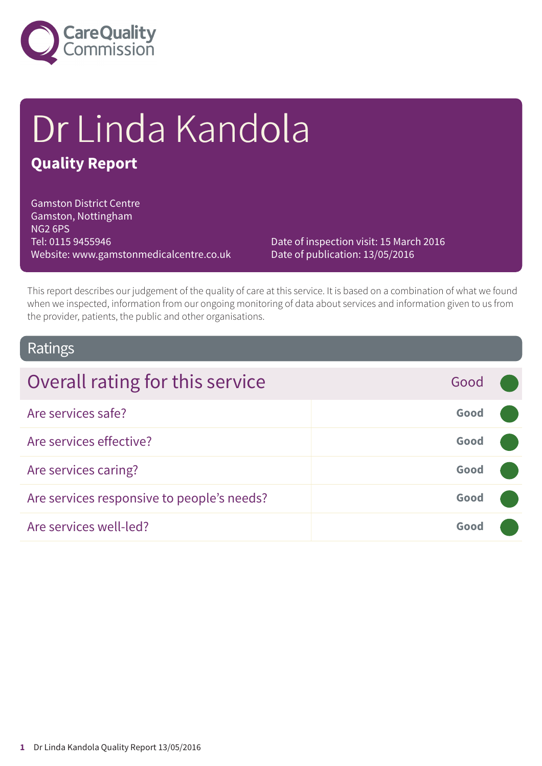

# Dr Linda Kandola

### **Quality Report**

Gamston District Centre Gamston, Nottingham NG2 6PS Tel: 0115 9455946 Website: www.gamstonmedicalcentre.co.uk

Date of inspection visit: 15 March 2016 Date of publication: 13/05/2016

This report describes our judgement of the quality of care at this service. It is based on a combination of what we found when we inspected, information from our ongoing monitoring of data about services and information given to us from the provider, patients, the public and other organisations.

### Ratings

| Overall rating for this service            | Good |  |
|--------------------------------------------|------|--|
| Are services safe?                         | Good |  |
| Are services effective?                    | Good |  |
| Are services caring?                       | Good |  |
| Are services responsive to people's needs? | Good |  |
| Are services well-led?                     | Good |  |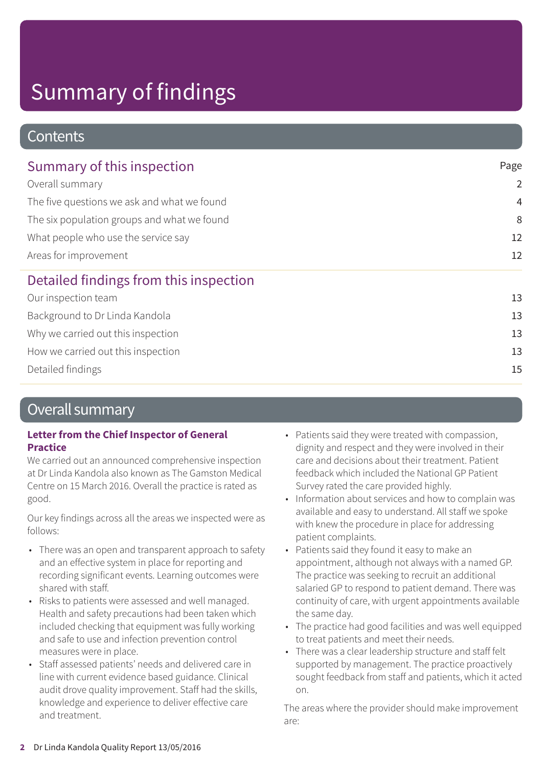### **Contents**

| Summary of this inspection                  | Page           |  |
|---------------------------------------------|----------------|--|
| Overall summary                             | $\overline{2}$ |  |
| The five questions we ask and what we found | $\overline{4}$ |  |
| The six population groups and what we found | 8              |  |
| What people who use the service say         | 12             |  |
| Areas for improvement                       | 12             |  |
| Detailed findings from this inspection      |                |  |
| Our inspection team                         | 13             |  |
| Background to Dr Linda Kandola              | 13             |  |
| Why we carried out this inspection          | 13             |  |
| How we carried out this inspection          | 13             |  |
| Detailed findings                           | 15             |  |

### Overall summary

### **Letter from the Chief Inspector of General Practice**

We carried out an announced comprehensive inspection at Dr Linda Kandola also known as The Gamston Medical Centre on 15 March 2016. Overall the practice is rated as good.

Our key findings across all the areas we inspected were as follows:

- There was an open and transparent approach to safety and an effective system in place for reporting and recording significant events. Learning outcomes were shared with staff.
- Risks to patients were assessed and well managed. Health and safety precautions had been taken which included checking that equipment was fully working and safe to use and infection prevention control measures were in place.
- Staff assessed patients' needs and delivered care in line with current evidence based guidance. Clinical audit drove quality improvement. Staff had the skills, knowledge and experience to deliver effective care and treatment.
- Patients said they were treated with compassion, dignity and respect and they were involved in their care and decisions about their treatment. Patient feedback which included the National GP Patient Survey rated the care provided highly.
- Information about services and how to complain was available and easy to understand. All staff we spoke with knew the procedure in place for addressing patient complaints.
- Patients said they found it easy to make an appointment, although not always with a named GP. The practice was seeking to recruit an additional salaried GP to respond to patient demand. There was continuity of care, with urgent appointments available the same day.
- The practice had good facilities and was well equipped to treat patients and meet their needs.
- There was a clear leadership structure and staff felt supported by management. The practice proactively sought feedback from staff and patients, which it acted on.

The areas where the provider should make improvement are: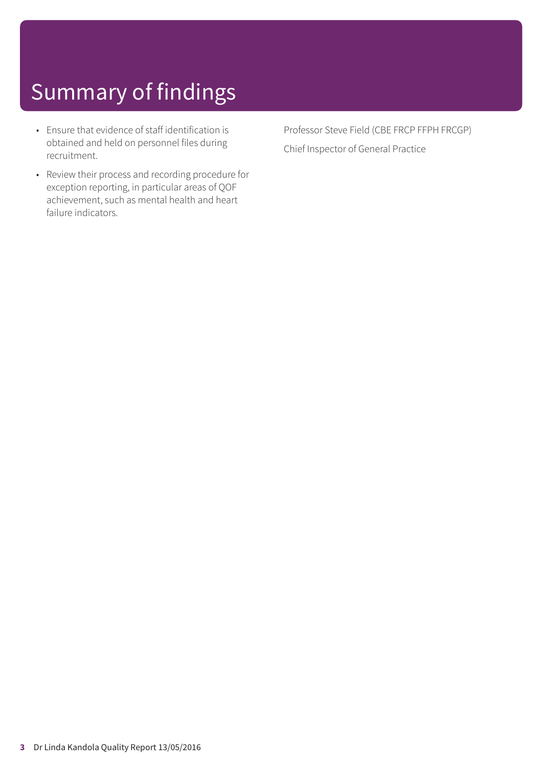- Ensure that evidence of staff identification is obtained and held on personnel files during recruitment.
- Review their process and recording procedure for exception reporting, in particular areas of QOF achievement, such as mental health and heart failure indicators.

Professor Steve Field (CBE FRCP FFPH FRCGP) Chief Inspector of General Practice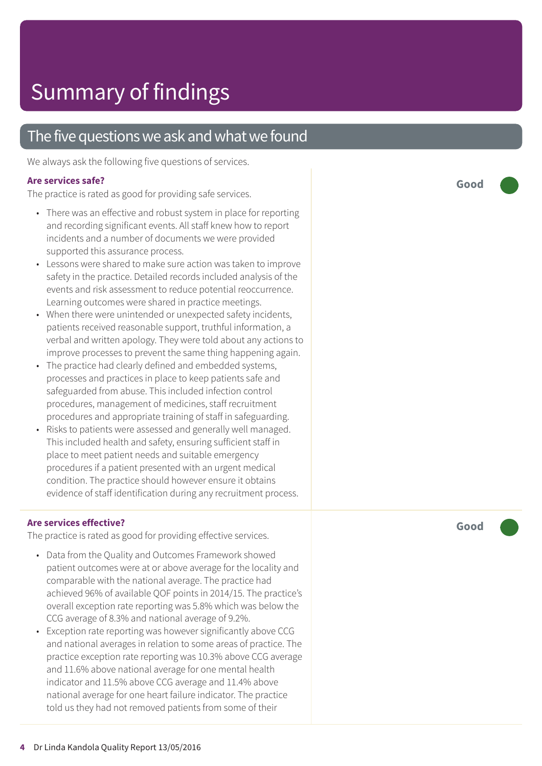### The five questions we ask and what we found

We always ask the following five questions of services.

### **Ar e services safe ?**

The practic e is rated as good for providing saf e services.

- There was an effective and robust system in place for reporting and recording significant events. All staff knew how to report incidents and a number of documents we wer e provided supported this assuranc e process.
- Lessons were shared to make sure action was taken to improve saf ety in the practice. De tailed records included analysis of the events and risk assessment to reduce potential reoccurrence. L earning out comes wer e shared in practic e meetings.
- When ther e wer e unintended or unexpected saf ety incidents, patients received r easonable support , truthful information, a verbal and written apology. They were told about any actions to improve processes to prevent the same thing happening again.
- The practic e had clearly defined and embedded systems, processes and practices in plac e t o keep patients saf e and saf eguarded from abuse. This included infection control procedures, management of medicines, staff recruitment procedures and appropriat e training of staff in saf eguarding.
- Risks t o patients wer e assessed and generally well managed. This included health and saf ety , ensuring sufficient staff in place to meet patient needs and suitable emergency procedures if a patient presented with an urgent medical condition. The practic e should however ensur e it obtains evidenc e of staff identification during any recruitment process.

### **Ar e services effective ?**

The practic e is rated as good for providing effective services.

- Dat a from the Quality and Out comes F ramework showed patient out comes wer e at or above averag e for the locality and comparable with the national average. The practic e had achieved 96% of available QOF points in 2014/15. The practice's overall exception rate reporting was 5.8% which was below the C C G averag e of 8.3% and national averag e of 9.2%.
- Exception rate reporting was however significantly above CCG and national averages in relation to some areas of practice. The practice exception rate reporting was 10.3% above CCG average and 11.6% above national averag e for one mental health indicator and 11.5% above C C G averag e and 11.4% above national averag e for one heart failur e indicator. The practic e told us the y had not removed patients from some of their

**Good –––**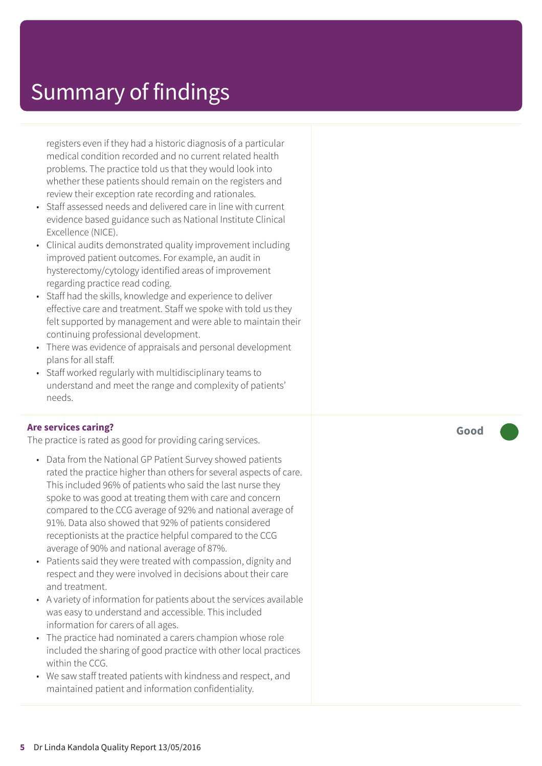registers even if they had a historic diagnosis of a particular medical condition recorded and no current related health problems. The practice told us that they would look into whether these patients should remain on the registers and review their exception rate recording and rationales.

- Staff assessed needs and delivered care in line with current evidence based guidance such as National Institute Clinical Excellence (NICE).
- Clinical audits demonstrated quality improvement including improved patient outcomes. For example, an audit in hysterectomy/cytology identified areas of improvement regarding practice read coding.
- Staff had the skills, knowledge and experience to deliver effective care and treatment. Staff we spoke with told us they felt supported by management and were able to maintain their continuing professional development.
- There was evidence of appraisals and personal development plans for all staff.
- Staff worked regularly with multidisciplinary teams to understand and meet the range and complexity of patients' needs.

### **Are services caring?**

The practice is rated as good for providing caring services.

- Data from the National GP Patient Survey showed patients rated the practice higher than others for several aspects of care. This included 96% of patients who said the last nurse they spoke to was good at treating them with care and concern compared to the CCG average of 92% and national average of 91%. Data also showed that 92% of patients considered receptionists at the practice helpful compared to the CCG average of 90% and national average of 87%.
- Patients said they were treated with compassion, dignity and respect and they were involved in decisions about their care and treatment.
- A variety of information for patients about the services available was easy to understand and accessible. This included information for carers of all ages.
- The practice had nominated a carers champion whose role included the sharing of good practice with other local practices within the CCG.
- We saw staff treated patients with kindness and respect, and maintained patient and information confidentiality.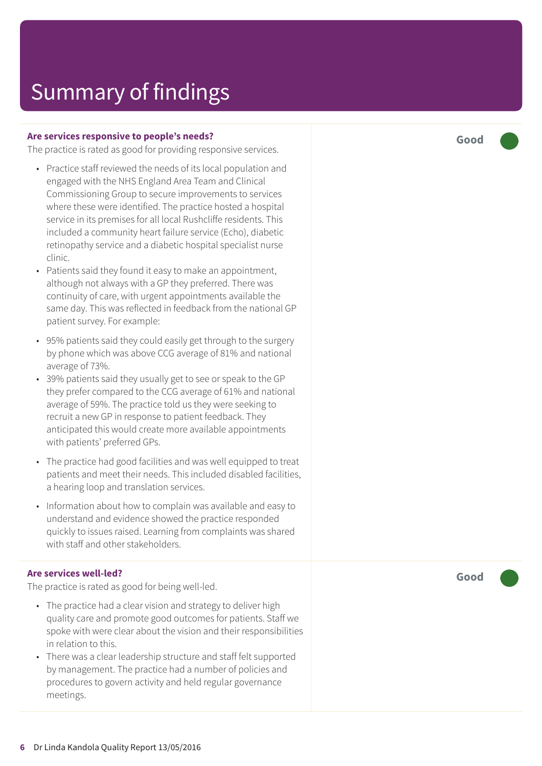#### **Are services responsive to people's needs?**

The practice is rated as good for providing responsive services.

- Practice staff reviewed the needs of its local population and engaged with the NHS England Area Team and Clinical Commissioning Group to secure improvements to services where these were identified. The practice hosted a hospital service in its premises for all local Rushcliffe residents. This included a community heart failure service (Echo), diabetic retinopathy service and a diabetic hospital specialist nurse clinic.
- Patients said they found it easy to make an appointment, although not always with a GP they preferred. There was continuity of care, with urgent appointments available the same day. This was reflected in feedback from the national GP patient survey. For example:
- 95% patients said they could easily get through to the surgery by phone which was above CCG average of 81% and national average of 73%.
- 39% patients said they usually get to see or speak to the GP they prefer compared to the CCG average of 61% and national average of 59%. The practice told us they were seeking to recruit a new GP in response to patient feedback. They anticipated this would create more available appointments with patients' preferred GPs.
- The practice had good facilities and was well equipped to treat patients and meet their needs. This included disabled facilities, a hearing loop and translation services.
- Information about how to complain was available and easy to understand and evidence showed the practice responded quickly to issues raised. Learning from complaints was shared with staff and other stakeholders.

### **Are services well-led?**

The practice is rated as good for being well-led.

- The practice had a clear vision and strategy to deliver high quality care and promote good outcomes for patients. Staff we spoke with were clear about the vision and their responsibilities in relation to this.
- There was a clear leadership structure and staff felt supported by management. The practice had a number of policies and procedures to govern activity and held regular governance meetings.

**Good –––**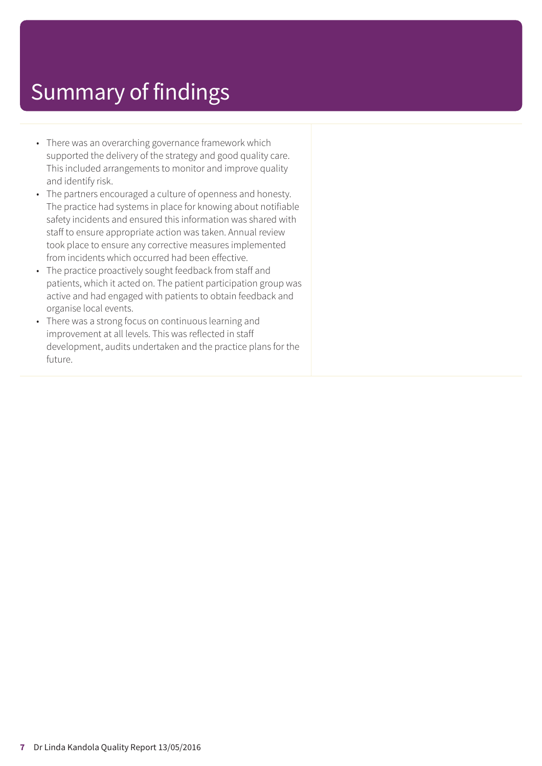- There was an overarching governance framework which supported the delivery of the strategy and good quality care. This included arrangements to monitor and improve quality and identify risk.
- The partners encouraged a culture of openness and honesty. The practice had systems in place for knowing about notifiable safety incidents and ensured this information was shared with staff to ensure appropriate action was taken. Annual review took place to ensure any corrective measures implemented from incidents which occurred had been effective.
- The practice proactively sought feedback from staff and patients, which it acted on. The patient participation group was active and had engaged with patients to obtain feedback and organise local events.
- There was a strong focus on continuous learning and improvement at all levels. This was reflected in staff development, audits undertaken and the practice plans for the future.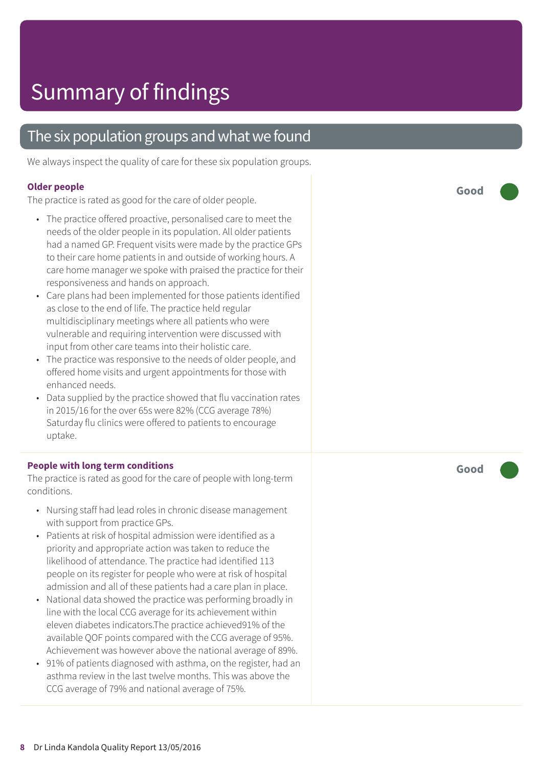### The six population groups and what we found

We always inspect the quality of care for these six population groups.

#### **Older people**

The practice is rated as good for the care of older people.

- The practice offered proactive, personalised care to meet the needs of the older people in its population. All older patients had a named GP. Frequent visits were made by the practice GPs to their care home patients in and outside of working hours. A care home manager we spoke with praised the practice for their responsiveness and hands on approach.
- Care plans had been implemented for those patients identified as close to the end of life. The practice held regular multidisciplinary meetings where all patients who were vulnerable and requiring intervention were discussed with input from other care teams into their holistic care.
- The practice was responsive to the needs of older people, and offered home visits and urgent appointments for those with enhanced needs.
- Data supplied by the practice showed that flu vaccination rates in 2015/16 for the over 65s were 82% (CCG average 78%) Saturday flu clinics were offered to patients to encourage uptake.

#### **People with long term conditions**

The practice is rated as good for the care of people with long-term conditions.

- Nursing staff had lead roles in chronic disease management with support from practice GPs.
- Patients at risk of hospital admission were identified as a priority and appropriate action was taken to reduce the likelihood of attendance. The practice had identified 113 people on its register for people who were at risk of hospital admission and all of these patients had a care plan in place.
- National data showed the practice was performing broadly in line with the local CCG average for its achievement within eleven diabetes indicators.The practice achieved91% of the available QOF points compared with the CCG average of 95%. Achievement was however above the national average of 89%.
- 91% of patients diagnosed with asthma, on the register, had an asthma review in the last twelve months. This was above the CCG average of 79% and national average of 75%.

**Good –––**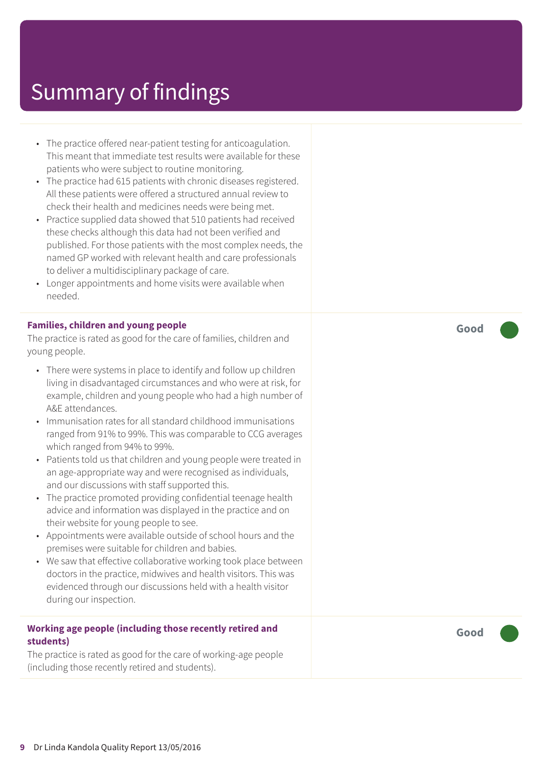- The practice offered near-patient testing for anticoagulation. This meant that immediate test results were available for these patients who were subject to routine monitoring.
- The practice had 615 patients with chronic diseases registered. All these patients were offered a structured annual review to check their health and medicines needs were being met.
- Practice supplied data showed that 510 patients had received these checks although this data had not been verified and published. For those patients with the most complex needs, the named GP worked with relevant health and care professionals to deliver a multidisciplinary package of care.
- Longer appointments and home visits were available when needed.

#### **Families, children and young people**

The practice is rated as good for the care of families, children and young people.

- There were systems in place to identify and follow up children living in disadvantaged circumstances and who were at risk, for example, children and young people who had a high number of A&E attendances.
- Immunisation rates for all standard childhood immunisations ranged from 91% to 99%. This was comparable to CCG averages which ranged from 94% to 99%.
- Patients told us that children and young people were treated in an age-appropriate way and were recognised as individuals, and our discussions with staff supported this.
- The practice promoted providing confidential teenage health advice and information was displayed in the practice and on their website for young people to see.
- Appointments were available outside of school hours and the premises were suitable for children and babies.
- We saw that effective collaborative working took place between doctors in the practice, midwives and health visitors. This was evidenced through our discussions held with a health visitor during our inspection.

### **Working age people (including those recently retired and students)**

The practice is rated as good for the care of working-age people (including those recently retired and students).

**Good –––**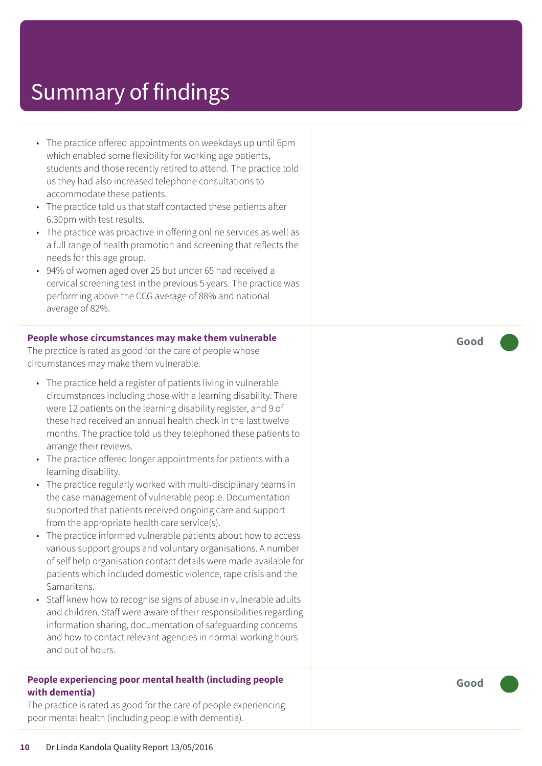- The practice offered appointments on weekdays up until 6pm which enabled some flexibility for working age patients, students and those recently retired to attend. The practice told us they had also increased telephone consultations to accommodate these patients.
- The practice told us that staff contacted these patients after 6.30pm with test results.
- The practice was proactive in offering online services as well as a full range of health promotion and screening that reflects the needs for this age group.
- 94% of women aged over 25 but under 65 had received a cervical screening test in the previous 5 years. The practice was performing above the CCG average of 88% and national average of 82%.

#### **People whose circumstances may make them vulnerable**

The practice is rated as good for the care of people whose circumstances may make them vulnerable.

- The practice held a register of patients living in vulnerable circumstances including those with a learning disability. There were 12 patients on the learning disability register, and 9 of these had received an annual health check in the last twelve months. The practice told us they telephoned these patients to arrange their reviews.
- The practice offered longer appointments for patients with a learning disability.
- The practice regularly worked with multi-disciplinary teams in the case management of vulnerable people. Documentation supported that patients received ongoing care and support from the appropriate health care service(s).
- The practice informed vulnerable patients about how to access various support groups and voluntary organisations. A number of self help organisation contact details were made available for patients which included domestic violence, rape crisis and the Samaritans.
- Staff knew how to recognise signs of abuse in vulnerable adults and children. Staff were aware of their responsibilities regarding information sharing, documentation of safeguarding concerns and how to contact relevant agencies in normal working hours and out of hours.

#### **People experiencing poor mental health (including people with dementia)**

The practice is rated as good for the care of people experiencing poor mental health (including people with dementia).

**Good –––**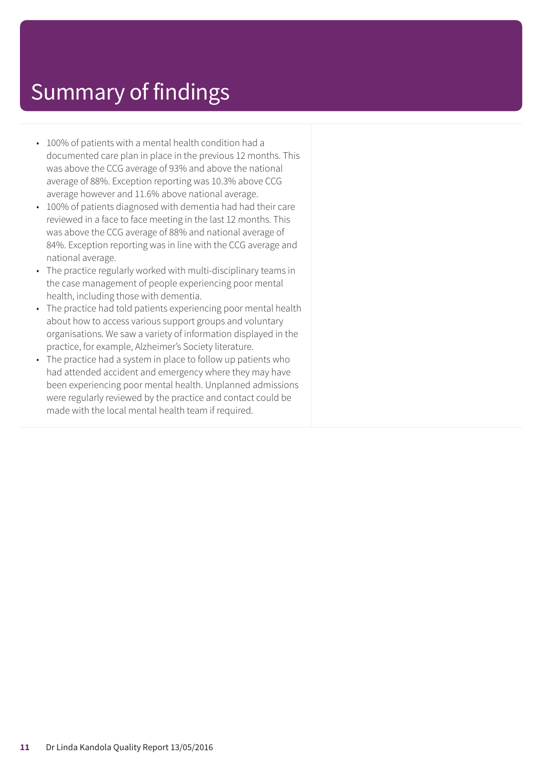- 100% of patients with a mental health condition had a documented care plan in place in the previous 12 months. This was above the CCG average of 93% and above the national average of 88%. Exception reporting was 10.3% above CCG average however and 11.6% above national average.
- 100% of patients diagnosed with dementia had had their care reviewed in a face to face meeting in the last 12 months. This was above the CCG average of 88% and national average of 84%. Exception reporting was in line with the CCG average and national average.
- The practice regularly worked with multi-disciplinary teams in the case management of people experiencing poor mental health, including those with dementia.
- The practice had told patients experiencing poor mental health about how to access various support groups and voluntary organisations. We saw a variety of information displayed in the practice, for example, Alzheimer's Society literature.
- The practice had a system in place to follow up patients who had attended accident and emergency where they may have been experiencing poor mental health. Unplanned admissions were regularly reviewed by the practice and contact could be made with the local mental health team if required.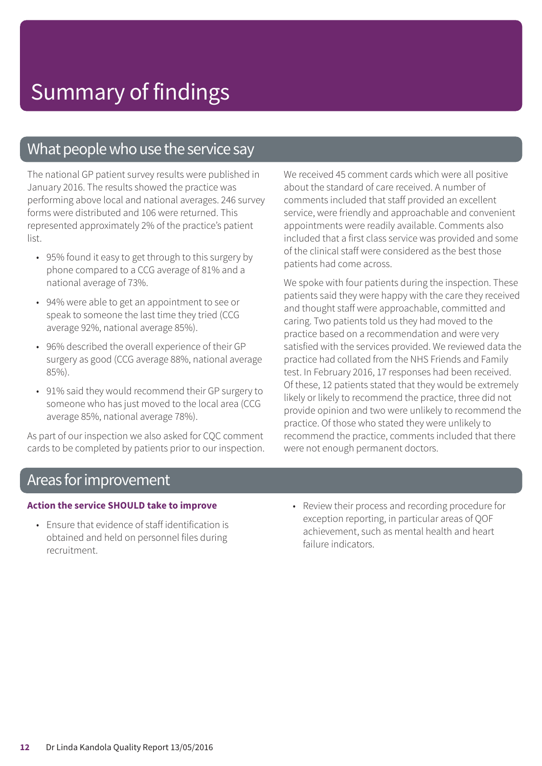### What people who use the service say

The national GP patient survey results were published in January 2016. The results showed the practice was performing above local and national averages. 246 survey forms were distributed and 106 were returned. This represented approximately 2% of the practice's patient list.

- 95% found it easy to get through to this surgery by phone compared to a CCG average of 81% and a national average of 73%.
- 94% were able to get an appointment to see or speak to someone the last time they tried (CCG average 92%, national average 85%).
- 96% described the overall experience of their GP surgery as good (CCG average 88%, national average 85%).
- 91% said they would recommend their GP surgery to someone who has just moved to the local area (CCG average 85%, national average 78%).

As part of our inspection we also asked for CQC comment cards to be completed by patients prior to our inspection. We received 45 comment cards which were all positive about the standard of care received. A number of comments included that staff provided an excellent service, were friendly and approachable and convenient appointments were readily available. Comments also included that a first class service was provided and some of the clinical staff were considered as the best those patients had come across.

We spoke with four patients during the inspection. These patients said they were happy with the care they received and thought staff were approachable, committed and caring. Two patients told us they had moved to the practice based on a recommendation and were very satisfied with the services provided. We reviewed data the practice had collated from the NHS Friends and Family test. In February 2016, 17 responses had been received. Of these, 12 patients stated that they would be extremely likely or likely to recommend the practice, three did not provide opinion and two were unlikely to recommend the practice. Of those who stated they were unlikely to recommend the practice, comments included that there were not enough permanent doctors.

### Areas for improvement

#### **Action the service SHOULD take to improve**

- Ensure that evidence of staff identification is obtained and held on personnel files during recruitment.
- Review their process and recording procedure for exception reporting, in particular areas of QOF achievement, such as mental health and heart failure indicators.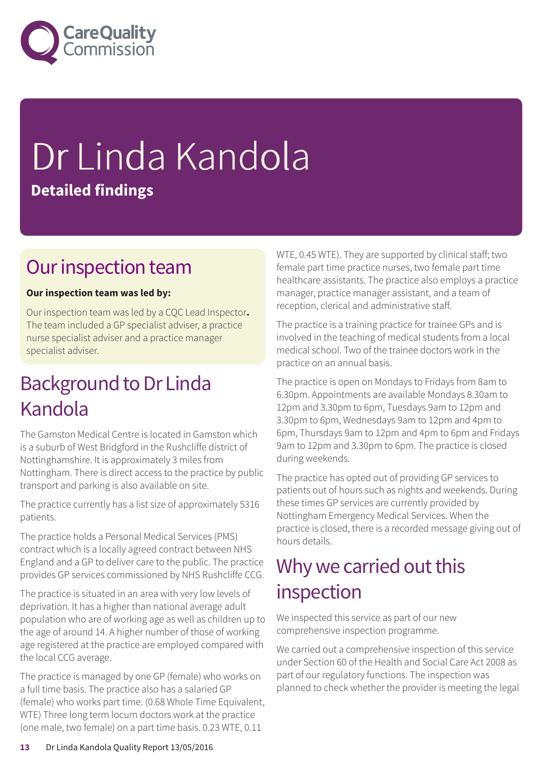

# Dr Linda Kandola **Detailed findings**

### Our inspection team

### **Our inspection team was led by:**

Our inspection team was led by a CQC Lead Inspector**.** The team included a GP specialist adviser, a practice nurse specialist adviser and a practice manager specialist adviser.

### **Background to Dr Linda** Kandola

The Gamston Medical Centre is located in Gamston which is a suburb of West Bridgford in the Rushcliffe district of Nottinghamshire. It is approximately 3 miles from Nottingham. There is direct access to the practice by public transport and parking is also available on site.

The practice currently has a list size of approximately 5316 patients.

The practice holds a Personal Medical Services (PMS) contract which is a locally agreed contract between NHS England and a GP to deliver care to the public. The practice provides GP services commissioned by NHS Rushcliffe CCG.

The practice is situated in an area with very low levels of deprivation. It has a higher than national average adult population who are of working age as well as children up to the age of around 14. A higher number of those of working age registered at the practice are employed compared with the local CCG average.

The practice is managed by one GP (female) who works on a full time basis. The practice also has a salaried GP (female) who works part time. (0.68 Whole Time Equivalent, WTE) Three long term locum doctors work at the practice (one male, two female) on a part time basis. 0.23 WTE, 0.11

WTE, 0.45 WTE). They are supported by clinical staff; two female part time practice nurses, two female part time healthcare assistants. The practice also employs a practice manager, practice manager assistant, and a team of reception, clerical and administrative staff.

The practice is a training practice for trainee GPs and is involved in the teaching of medical students from a local medical school. Two of the trainee doctors work in the practice on an annual basis.

The practice is open on Mondays to Fridays from 8am to 6.30pm. Appointments are available Mondays 8.30am to 12pm and 3.30pm to 6pm, Tuesdays 9am to 12pm and 3.30pm to 6pm, Wednesdays 9am to 12pm and 4pm to 6pm, Thursdays 9am to 12pm and 4pm to 6pm and Fridays 9am to 12pm and 3.30pm to 6pm. The practice is closed during weekends.

The practice has opted out of providing GP services to patients out of hours such as nights and weekends. During these times GP services are currently provided by Nottingham Emergency Medical Services. When the practice is closed, there is a recorded message giving out of hours details.

### Why we carried out this inspection

We inspected this service as part of our new comprehensive inspection programme.

We carried out a comprehensive inspection of this service under Section 60 of the Health and Social Care Act 2008 as part of our regulatory functions. The inspection was planned to check whether the provider is meeting the legal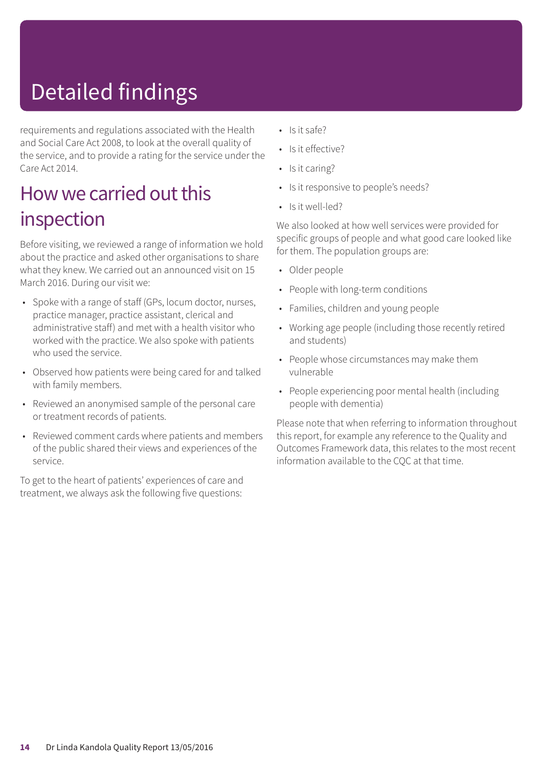# Detailed findings

requirements and regulations associated with the Health and Social Care Act 2008, to look at the overall quality of the service, and to provide a rating for the service under the Care Act 2014.

### How we carried out this inspection

Before visiting, we reviewed a range of information we hold about the practice and asked other organisations to share what they knew. We carried out an announced visit on 15 March 2016. During our visit we:

- Spoke with a range of staff (GPs, locum doctor, nurses, practice manager, practice assistant, clerical and administrative staff) and met with a health visitor who worked with the practice. We also spoke with patients who used the service.
- Observed how patients were being cared for and talked with family members.
- Reviewed an anonymised sample of the personal care or treatment records of patients.
- Reviewed comment cards where patients and members of the public shared their views and experiences of the service.

To get to the heart of patients' experiences of care and treatment, we always ask the following five questions:

- Is it safe?
- Is it effective?
- Is it caring?
- Is it responsive to people's needs?
- Is it well-led?

We also looked at how well services were provided for specific groups of people and what good care looked like for them. The population groups are:

- Older people
- People with long-term conditions
- Families, children and young people
- Working age people (including those recently retired and students)
- People whose circumstances may make them vulnerable
- People experiencing poor mental health (including people with dementia)

Please note that when referring to information throughout this report, for example any reference to the Quality and Outcomes Framework data, this relates to the most recent information available to the CQC at that time.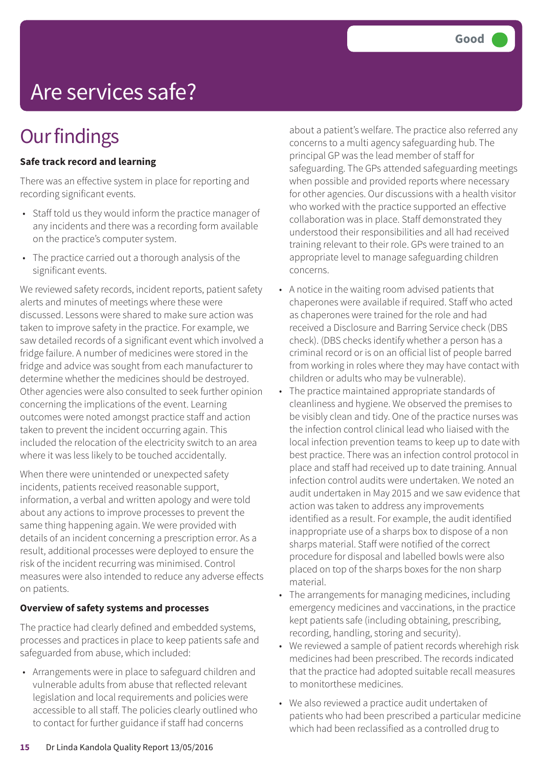# Are services safe?

### **Our findings**

### **Safe track record and learning**

There was an effective system in place for reporting and recording significant events.

- Staff told us they would inform the practice manager of any incidents and there was a recording form available on the practice's computer system.
- The practice carried out a thorough analysis of the significant events.

We reviewed safety records, incident reports, patient safety alerts and minutes of meetings where these were discussed. Lessons were shared to make sure action was taken to improve safety in the practice. For example, we saw detailed records of a significant event which involved a fridge failure. A number of medicines were stored in the fridge and advice was sought from each manufacturer to determine whether the medicines should be destroyed. Other agencies were also consulted to seek further opinion concerning the implications of the event. Learning outcomes were noted amongst practice staff and action taken to prevent the incident occurring again. This included the relocation of the electricity switch to an area where it was less likely to be touched accidentally.

When there were unintended or unexpected safety incidents, patients received reasonable support, information, a verbal and written apology and were told about any actions to improve processes to prevent the same thing happening again. We were provided with details of an incident concerning a prescription error. As a result, additional processes were deployed to ensure the risk of the incident recurring was minimised. Control measures were also intended to reduce any adverse effects on patients.

### **Overview of safety systems and processes**

The practice had clearly defined and embedded systems, processes and practices in place to keep patients safe and safeguarded from abuse, which included:

• Arrangements were in place to safeguard children and vulnerable adults from abuse that reflected relevant legislation and local requirements and policies were accessible to all staff. The policies clearly outlined who to contact for further guidance if staff had concerns

about a patient's welfare. The practice also referred any concerns to a multi agency safeguarding hub. The principal GP was the lead member of staff for safeguarding. The GPs attended safeguarding meetings when possible and provided reports where necessary for other agencies. Our discussions with a health visitor who worked with the practice supported an effective collaboration was in place. Staff demonstrated they understood their responsibilities and all had received training relevant to their role. GPs were trained to an appropriate level to manage safeguarding children concerns.

- A notice in the waiting room advised patients that chaperones were available if required. Staff who acted as chaperones were trained for the role and had received a Disclosure and Barring Service check (DBS check). (DBS checks identify whether a person has a criminal record or is on an official list of people barred from working in roles where they may have contact with children or adults who may be vulnerable).
- The practice maintained appropriate standards of cleanliness and hygiene. We observed the premises to be visibly clean and tidy. One of the practice nurses was the infection control clinical lead who liaised with the local infection prevention teams to keep up to date with best practice. There was an infection control protocol in place and staff had received up to date training. Annual infection control audits were undertaken. We noted an audit undertaken in May 2015 and we saw evidence that action was taken to address any improvements identified as a result. For example, the audit identified inappropriate use of a sharps box to dispose of a non sharps material. Staff were notified of the correct procedure for disposal and labelled bowls were also placed on top of the sharps boxes for the non sharp material.
- The arrangements for managing medicines, including emergency medicines and vaccinations, in the practice kept patients safe (including obtaining, prescribing, recording, handling, storing and security).
- We reviewed a sample of patient records wherehigh risk medicines had been prescribed. The records indicated that the practice had adopted suitable recall measures to monitorthese medicines.
- We also reviewed a practice audit undertaken of patients who had been prescribed a particular medicine which had been reclassified as a controlled drug to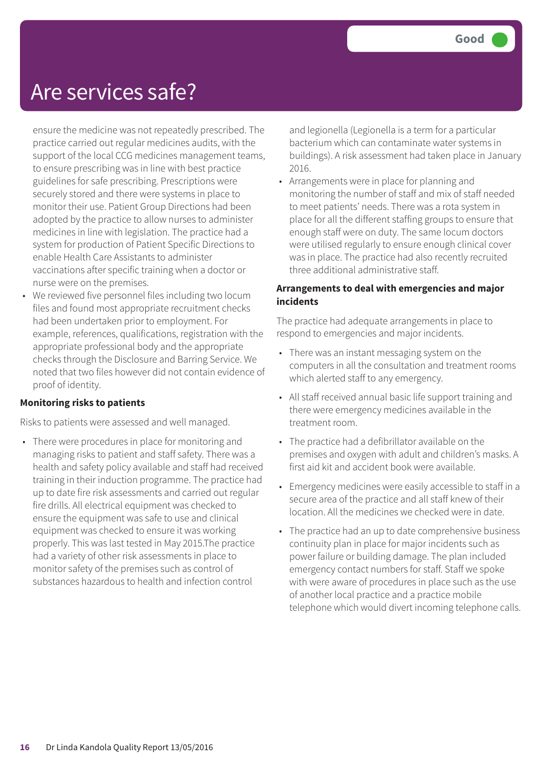### Are services safe?

ensure the medicine was not repeatedly prescribed. The practice carried out regular medicines audits, with the support of the local CCG medicines management teams, to ensure prescribing was in line with best practice guidelines for safe prescribing. Prescriptions were securely stored and there were systems in place to monitor their use. Patient Group Directions had been adopted by the practice to allow nurses to administer medicines in line with legislation. The practice had a system for production of Patient Specific Directions to enable Health Care Assistants to administer vaccinations after specific training when a doctor or nurse were on the premises.

• We reviewed five personnel files including two locum files and found most appropriate recruitment checks had been undertaken prior to employment. For example, references, qualifications, registration with the appropriate professional body and the appropriate checks through the Disclosure and Barring Service. We noted that two files however did not contain evidence of proof of identity.

### **Monitoring risks to patients**

Risks to patients were assessed and well managed.

• There were procedures in place for monitoring and managing risks to patient and staff safety. There was a health and safety policy available and staff had received training in their induction programme. The practice had up to date fire risk assessments and carried out regular fire drills. All electrical equipment was checked to ensure the equipment was safe to use and clinical equipment was checked to ensure it was working properly. This was last tested in May 2015.The practice had a variety of other risk assessments in place to monitor safety of the premises such as control of substances hazardous to health and infection control

and legionella (Legionella is a term for a particular bacterium which can contaminate water systems in buildings). A risk assessment had taken place in January 2016.

• Arrangements were in place for planning and monitoring the number of staff and mix of staff needed to meet patients' needs. There was a rota system in place for all the different staffing groups to ensure that enough staff were on duty. The same locum doctors were utilised regularly to ensure enough clinical cover was in place. The practice had also recently recruited three additional administrative staff.

#### **Arrangements to deal with emergencies and major incidents**

The practice had adequate arrangements in place to respond to emergencies and major incidents.

- There was an instant messaging system on the computers in all the consultation and treatment rooms which alerted staff to any emergency.
- All staff received annual basic life support training and there were emergency medicines available in the treatment room.
- The practice had a defibrillator available on the premises and oxygen with adult and children's masks. A first aid kit and accident book were available.
- Emergency medicines were easily accessible to staff in a secure area of the practice and all staff knew of their location. All the medicines we checked were in date.
- The practice had an up to date comprehensive business continuity plan in place for major incidents such as power failure or building damage. The plan included emergency contact numbers for staff. Staff we spoke with were aware of procedures in place such as the use of another local practice and a practice mobile telephone which would divert incoming telephone calls.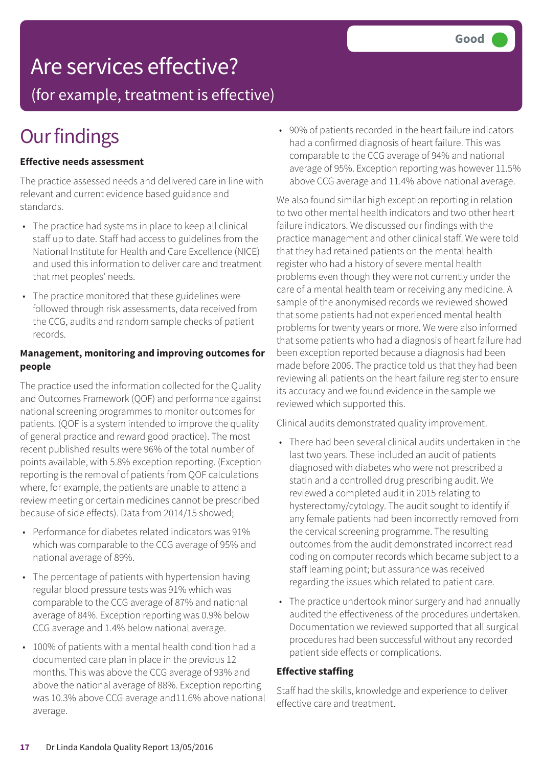### Are services effective?

(for example, treatment is effective)

### **Our findings**

### **Effective needs assessment**

The practice assessed needs and delivered care in line with relevant and current evidence based guidance and standards.

- The practice had systems in place to keep all clinical staff up to date. Staff had access to guidelines from the National Institute for Health and Care Excellence (NICE) and used this information to deliver care and treatment that met peoples' needs.
- The practice monitored that these guidelines were followed through risk assessments, data received from the CCG, audits and random sample checks of patient records.

### **Management, monitoring and improving outcomes for people**

The practice used the information collected for the Quality and Outcomes Framework (QOF) and performance against national screening programmes to monitor outcomes for patients. (QOF is a system intended to improve the quality of general practice and reward good practice). The most recent published results were 96% of the total number of points available, with 5.8% exception reporting. (Exception reporting is the removal of patients from QOF calculations where, for example, the patients are unable to attend a review meeting or certain medicines cannot be prescribed because of side effects). Data from 2014/15 showed;

- Performance for diabetes related indicators was 91% which was comparable to the CCG average of 95% and national average of 89%.
- The percentage of patients with hypertension having regular blood pressure tests was 91% which was comparable to the CCG average of 87% and national average of 84%. Exception reporting was 0.9% below CCG average and 1.4% below national average.
- 100% of patients with a mental health condition had a documented care plan in place in the previous 12 months. This was above the CCG average of 93% and above the national average of 88%. Exception reporting was 10.3% above CCG average and11.6% above national average.

• 90% of patients recorded in the heart failure indicators had a confirmed diagnosis of heart failure. This was comparable to the CCG average of 94% and national average of 95%. Exception reporting was however 11.5% above CCG average and 11.4% above national average.

We also found similar high exception reporting in relation to two other mental health indicators and two other heart failure indicators. We discussed our findings with the practice management and other clinical staff. We were told that they had retained patients on the mental health register who had a history of severe mental health problems even though they were not currently under the care of a mental health team or receiving any medicine. A sample of the anonymised records we reviewed showed that some patients had not experienced mental health problems for twenty years or more. We were also informed that some patients who had a diagnosis of heart failure had been exception reported because a diagnosis had been made before 2006. The practice told us that they had been reviewing all patients on the heart failure register to ensure its accuracy and we found evidence in the sample we reviewed which supported this.

Clinical audits demonstrated quality improvement.

- There had been several clinical audits undertaken in the last two years. These included an audit of patients diagnosed with diabetes who were not prescribed a statin and a controlled drug prescribing audit. We reviewed a completed audit in 2015 relating to hysterectomy/cytology. The audit sought to identify if any female patients had been incorrectly removed from the cervical screening programme. The resulting outcomes from the audit demonstrated incorrect read coding on computer records which became subject to a staff learning point; but assurance was received regarding the issues which related to patient care.
- The practice undertook minor surgery and had annually audited the effectiveness of the procedures undertaken. Documentation we reviewed supported that all surgical procedures had been successful without any recorded patient side effects or complications.

### **Effective staffing**

Staff had the skills, knowledge and experience to deliver effective care and treatment.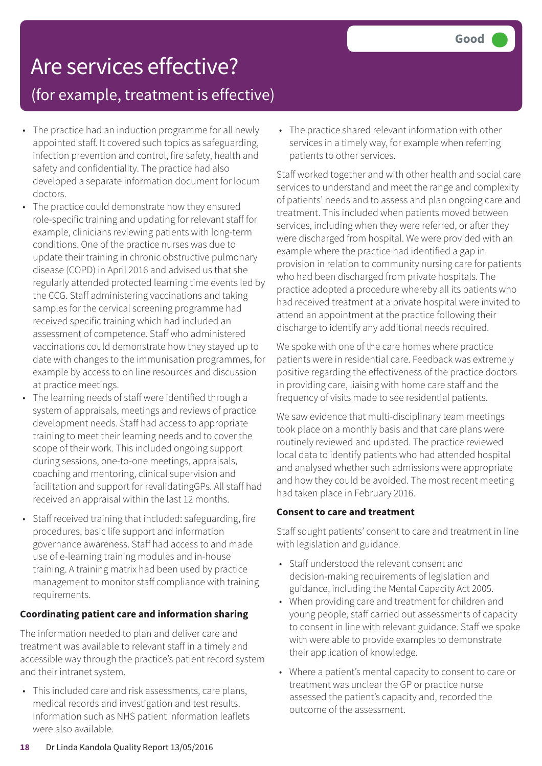# Are services effective?

### (for example, treatment is effective)

- The practice had an induction programme for all newly appointed staff. It covered such topics as safeguarding, infection prevention and control, fire safety, health and safety and confidentiality. The practice had also developed a separate information document for locum doctors.
- The practice could demonstrate how they ensured role-specific training and updating for relevant staff for example, clinicians reviewing patients with long-term conditions. One of the practice nurses was due to update their training in chronic obstructive pulmonary disease (COPD) in April 2016 and advised us that she regularly attended protected learning time events led by the CCG. Staff administering vaccinations and taking samples for the cervical screening programme had received specific training which had included an assessment of competence. Staff who administered vaccinations could demonstrate how they stayed up to date with changes to the immunisation programmes, for example by access to on line resources and discussion at practice meetings.
- The learning needs of staff were identified through a system of appraisals, meetings and reviews of practice development needs. Staff had access to appropriate training to meet their learning needs and to cover the scope of their work. This included ongoing support during sessions, one-to-one meetings, appraisals, coaching and mentoring, clinical supervision and facilitation and support for revalidatingGPs. All staff had received an appraisal within the last 12 months.
- Staff received training that included: safeguarding, fire procedures, basic life support and information governance awareness. Staff had access to and made use of e-learning training modules and in-house training. A training matrix had been used by practice management to monitor staff compliance with training requirements.

### **Coordinating patient care and information sharing**

The information needed to plan and deliver care and treatment was available to relevant staff in a timely and accessible way through the practice's patient record system and their intranet system.

• This included care and risk assessments, care plans, medical records and investigation and test results. Information such as NHS patient information leaflets were also available.

• The practice shared relevant information with other services in a timely way, for example when referring patients to other services.

Staff worked together and with other health and social care services to understand and meet the range and complexity of patients' needs and to assess and plan ongoing care and treatment. This included when patients moved between services, including when they were referred, or after they were discharged from hospital. We were provided with an example where the practice had identified a gap in provision in relation to community nursing care for patients who had been discharged from private hospitals. The practice adopted a procedure whereby all its patients who had received treatment at a private hospital were invited to attend an appointment at the practice following their discharge to identify any additional needs required.

We spoke with one of the care homes where practice patients were in residential care. Feedback was extremely positive regarding the effectiveness of the practice doctors in providing care, liaising with home care staff and the frequency of visits made to see residential patients.

We saw evidence that multi-disciplinary team meetings took place on a monthly basis and that care plans were routinely reviewed and updated. The practice reviewed local data to identify patients who had attended hospital and analysed whether such admissions were appropriate and how they could be avoided. The most recent meeting had taken place in February 2016.

### **Consent to care and treatment**

Staff sought patients' consent to care and treatment in line with legislation and guidance.

- Staff understood the relevant consent and decision-making requirements of legislation and guidance, including the Mental Capacity Act 2005.
- When providing care and treatment for children and young people, staff carried out assessments of capacity to consent in line with relevant guidance. Staff we spoke with were able to provide examples to demonstrate their application of knowledge.
- Where a patient's mental capacity to consent to care or treatment was unclear the GP or practice nurse assessed the patient's capacity and, recorded the outcome of the assessment.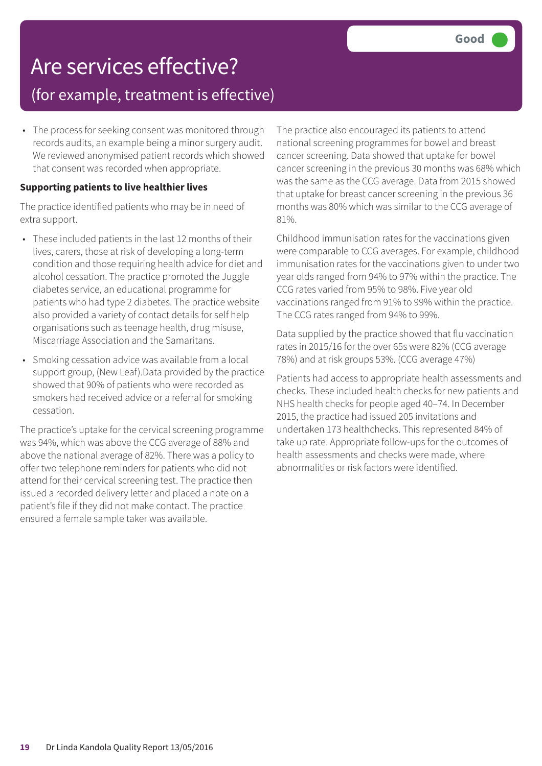### Are services effective? (for example, treatment is effective)

• The process for seeking consent was monitored through records audits, an example being a minor surgery audit. We reviewed anonymised patient records which showed that consent was recorded when appropriate.

#### **Supporting patients to live healthier lives**

The practice identified patients who may be in need of extra support.

- These included patients in the last 12 months of their lives, carers, those at risk of developing a long-term condition and those requiring health advice for diet and alcohol cessation. The practice promoted the Juggle diabetes service, an educational programme for patients who had type 2 diabetes. The practice website also provided a variety of contact details for self help organisations such as teenage health, drug misuse, Miscarriage Association and the Samaritans.
- Smoking cessation advice was available from a local support group, (New Leaf).Data provided by the practice showed that 90% of patients who were recorded as smokers had received advice or a referral for smoking cessation.

The practice's uptake for the cervical screening programme was 94%, which was above the CCG average of 88% and above the national average of 82%. There was a policy to offer two telephone reminders for patients who did not attend for their cervical screening test. The practice then issued a recorded delivery letter and placed a note on a patient's file if they did not make contact. The practice ensured a female sample taker was available.

The practice also encouraged its patients to attend national screening programmes for bowel and breast cancer screening. Data showed that uptake for bowel cancer screening in the previous 30 months was 68% which was the same as the CCG average. Data from 2015 showed that uptake for breast cancer screening in the previous 36 months was 80% which was similar to the CCG average of 81%.

Childhood immunisation rates for the vaccinations given were comparable to CCG averages. For example, childhood immunisation rates for the vaccinations given to under two year olds ranged from 94% to 97% within the practice. The CCG rates varied from 95% to 98%. Five year old vaccinations ranged from 91% to 99% within the practice. The CCG rates ranged from 94% to 99%.

Data supplied by the practice showed that flu vaccination rates in 2015/16 for the over 65s were 82% (CCG average 78%) and at risk groups 53%. (CCG average 47%)

Patients had access to appropriate health assessments and checks. These included health checks for new patients and NHS health checks for people aged 40–74. In December 2015, the practice had issued 205 invitations and undertaken 173 healthchecks. This represented 84% of take up rate. Appropriate follow-ups for the outcomes of health assessments and checks were made, where abnormalities or risk factors were identified.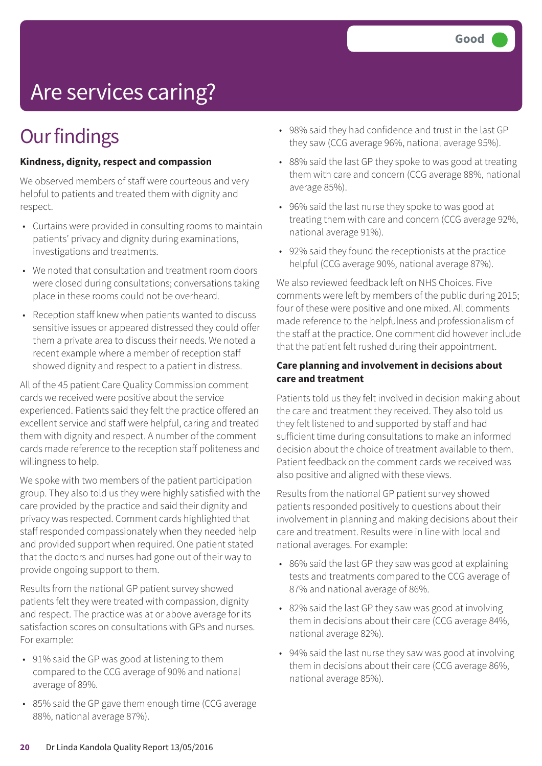# Are services caring?

### **Our findings**

### **Kindness, dignity, respect and compassion**

We observed members of staff were courteous and very helpful to patients and treated them with dignity and respect.

- Curtains were provided in consulting rooms to maintain patients' privacy and dignity during examinations, investigations and treatments.
- We noted that consultation and treatment room doors were closed during consultations; conversations taking place in these rooms could not be overheard.
- Reception staff knew when patients wanted to discuss sensitive issues or appeared distressed they could offer them a private area to discuss their needs. We noted a recent example where a member of reception staff showed dignity and respect to a patient in distress.

All of the 45 patient Care Quality Commission comment cards we received were positive about the service experienced. Patients said they felt the practice offered an excellent service and staff were helpful, caring and treated them with dignity and respect. A number of the comment cards made reference to the reception staff politeness and willingness to help.

We spoke with two members of the patient participation group. They also told us they were highly satisfied with the care provided by the practice and said their dignity and privacy was respected. Comment cards highlighted that staff responded compassionately when they needed help and provided support when required. One patient stated that the doctors and nurses had gone out of their way to provide ongoing support to them.

Results from the national GP patient survey showed patients felt they were treated with compassion, dignity and respect. The practice was at or above average for its satisfaction scores on consultations with GPs and nurses. For example:

- 91% said the GP was good at listening to them compared to the CCG average of 90% and national average of 89%.
- 85% said the GP gave them enough time (CCG average 88%, national average 87%).
- 98% said they had confidence and trust in the last GP they saw (CCG average 96%, national average 95%).
- 88% said the last GP they spoke to was good at treating them with care and concern (CCG average 88%, national average 85%).
- 96% said the last nurse they spoke to was good at treating them with care and concern (CCG average 92%, national average 91%).
- 92% said they found the receptionists at the practice helpful (CCG average 90%, national average 87%).

We also reviewed feedback left on NHS Choices. Five comments were left by members of the public during 2015; four of these were positive and one mixed. All comments made reference to the helpfulness and professionalism of the staff at the practice. One comment did however include that the patient felt rushed during their appointment.

#### **Care planning and involvement in decisions about care and treatment**

Patients told us they felt involved in decision making about the care and treatment they received. They also told us they felt listened to and supported by staff and had sufficient time during consultations to make an informed decision about the choice of treatment available to them. Patient feedback on the comment cards we received was also positive and aligned with these views.

Results from the national GP patient survey showed patients responded positively to questions about their involvement in planning and making decisions about their care and treatment. Results were in line with local and national averages. For example:

- 86% said the last GP they saw was good at explaining tests and treatments compared to the CCG average of 87% and national average of 86%.
- 82% said the last GP they saw was good at involving them in decisions about their care (CCG average 84%, national average 82%).
- 94% said the last nurse they saw was good at involving them in decisions about their care (CCG average 86%, national average 85%).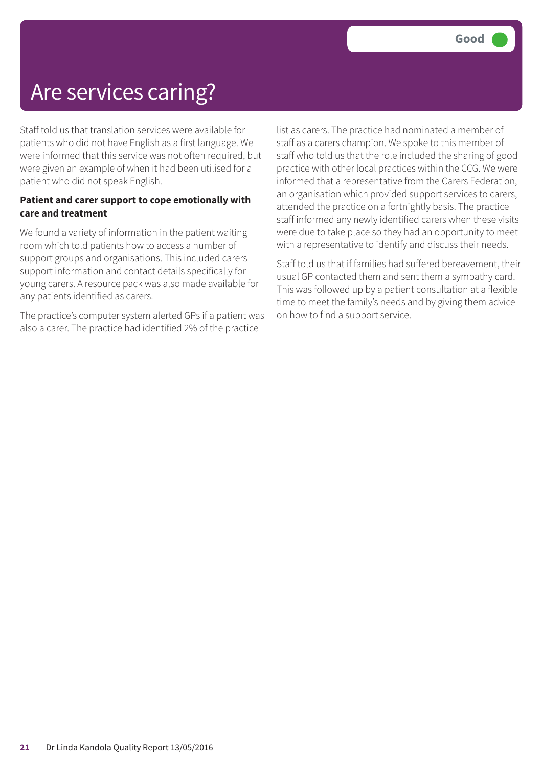### Are services caring?

Staff told us that translation services were available for patients who did not have English as a first language. We were informed that this service was not often required, but were given an example of when it had been utilised for a patient who did not speak English.

### **Patient and carer support to cope emotionally with care and treatment**

We found a variety of information in the patient waiting room which told patients how to access a number of support groups and organisations. This included carers support information and contact details specifically for young carers. A resource pack was also made available for any patients identified as carers.

The practice's computer system alerted GPs if a patient was also a carer. The practice had identified 2% of the practice

list as carers. The practice had nominated a member of staff as a carers champion. We spoke to this member of staff who told us that the role included the sharing of good practice with other local practices within the CCG. We were informed that a representative from the Carers Federation, an organisation which provided support services to carers, attended the practice on a fortnightly basis. The practice staff informed any newly identified carers when these visits were due to take place so they had an opportunity to meet with a representative to identify and discuss their needs.

Staff told us that if families had suffered bereavement, their usual GP contacted them and sent them a sympathy card. This was followed up by a patient consultation at a flexible time to meet the family's needs and by giving them advice on how to find a support service.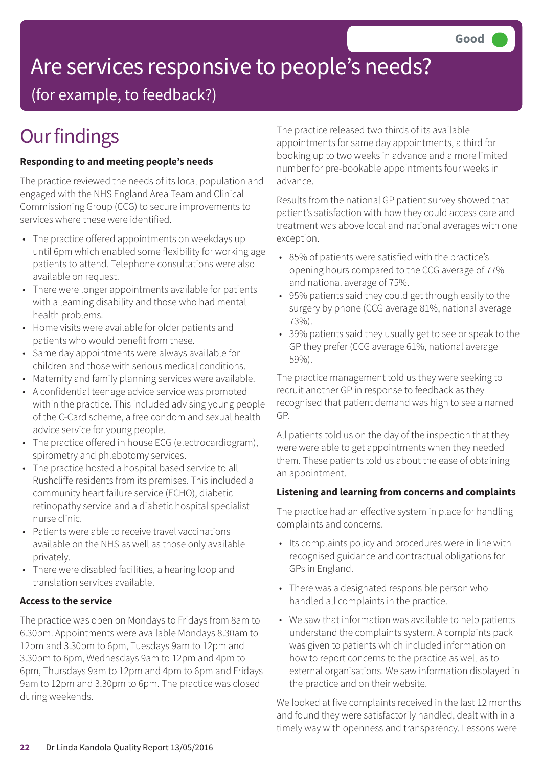# Are services responsive to people's needs?

(for example, to feedback?)

# **Our findings**

### **Responding to and meeting people's needs**

The practice reviewed the needs of its local population and engaged with the NHS England Area Team and Clinical Commissioning Group (CCG) to secure improvements to services where these were identified.

- The practice offered appointments on weekdays up until 6pm which enabled some flexibility for working age patients to attend. Telephone consultations were also available on request.
- There were longer appointments available for patients with a learning disability and those who had mental health problems.
- Home visits were available for older patients and patients who would benefit from these.
- Same day appointments were always available for children and those with serious medical conditions.
- Maternity and family planning services were available.
- A confidential teenage advice service was promoted within the practice. This included advising young people of the C-Card scheme, a free condom and sexual health advice service for young people.
- The practice offered in house ECG (electrocardiogram), spirometry and phlebotomy services.
- The practice hosted a hospital based service to all Rushcliffe residents from its premises. This included a community heart failure service (ECHO), diabetic retinopathy service and a diabetic hospital specialist nurse clinic.
- Patients were able to receive travel vaccinations available on the NHS as well as those only available privately.
- There were disabled facilities, a hearing loop and translation services available.

### **Access to the service**

The practice was open on Mondays to Fridays from 8am to 6.30pm. Appointments were available Mondays 8.30am to 12pm and 3.30pm to 6pm, Tuesdays 9am to 12pm and 3.30pm to 6pm, Wednesdays 9am to 12pm and 4pm to 6pm, Thursdays 9am to 12pm and 4pm to 6pm and Fridays 9am to 12pm and 3.30pm to 6pm. The practice was closed during weekends.

The practice released two thirds of its available appointments for same day appointments, a third for booking up to two weeks in advance and a more limited number for pre-bookable appointments four weeks in advance.

Results from the national GP patient survey showed that patient's satisfaction with how they could access care and treatment was above local and national averages with one exception.

- 85% of patients were satisfied with the practice's opening hours compared to the CCG average of 77% and national average of 75%.
- 95% patients said they could get through easily to the surgery by phone (CCG average 81%, national average 73%).
- 39% patients said they usually get to see or speak to the GP they prefer (CCG average 61%, national average 59%).

The practice management told us they were seeking to recruit another GP in response to feedback as they recognised that patient demand was high to see a named GP.

All patients told us on the day of the inspection that they were were able to get appointments when they needed them. These patients told us about the ease of obtaining an appointment.

### **Listening and learning from concerns and complaints**

The practice had an effective system in place for handling complaints and concerns.

- Its complaints policy and procedures were in line with recognised guidance and contractual obligations for GPs in England.
- There was a designated responsible person who handled all complaints in the practice.
- We saw that information was available to help patients understand the complaints system. A complaints pack was given to patients which included information on how to report concerns to the practice as well as to external organisations. We saw information displayed in the practice and on their website.

We looked at five complaints received in the last 12 months and found they were satisfactorily handled, dealt with in a timely way with openness and transparency. Lessons were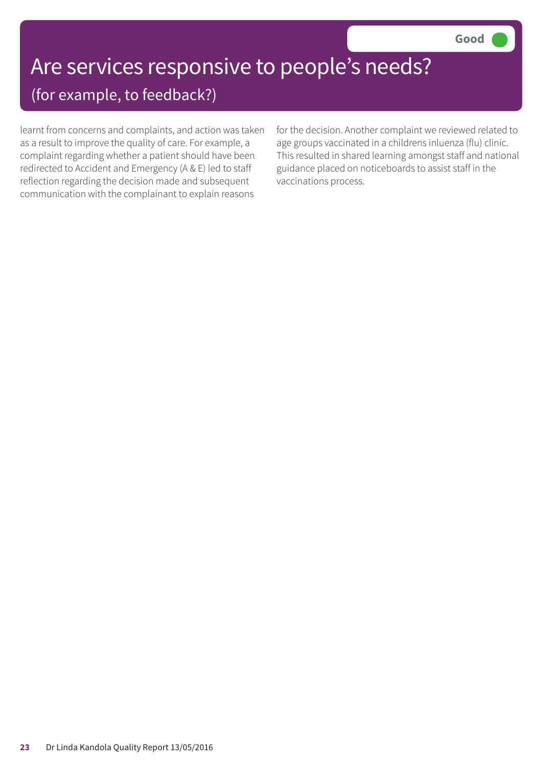# Are services responsive to people's needs?

(for example, to feedback?)

learnt from concerns and complaints, and action was taken as a result to improve the quality of care. For example, a complaint regarding whether a patient should have been redirected to Accident and Emergency (A & E) led to staff reflection regarding the decision made and subsequent communication with the complainant to explain reasons

for the decision. Another complaint we reviewed related to age groups vaccinated in a childrens inluenza (flu) clinic. This resulted in shared learning amongst staff and national guidance placed on noticeboards to assist staff in the vaccinations process.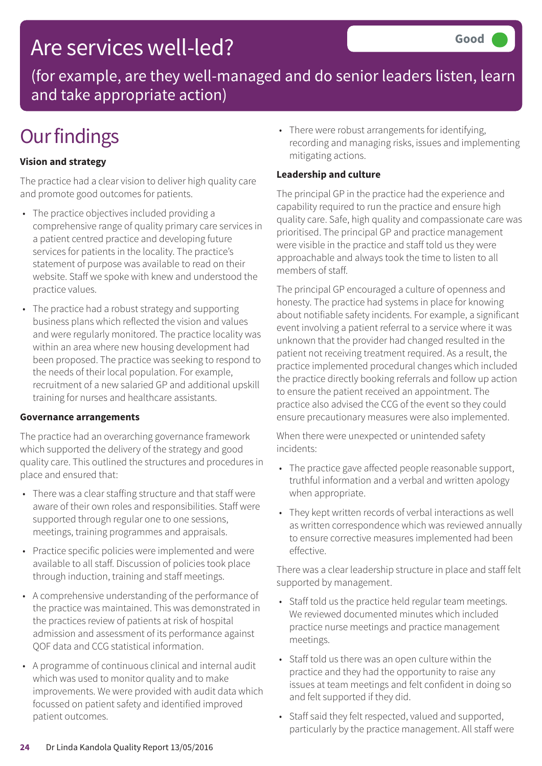### Are services well-led?

(for example, are they well-managed and do senior leaders listen, learn and take appropriate action)

### **Our findings**

### **Vision and strategy**

The practice had a clear vision to deliver high quality care and promote good outcomes for patients.

- The practice objectives included providing a comprehensive range of quality primary care services in a patient centred practice and developing future services for patients in the locality. The practice's statement of purpose was available to read on their website. Staff we spoke with knew and understood the practice values.
- The practice had a robust strategy and supporting business plans which reflected the vision and values and were regularly monitored. The practice locality was within an area where new housing development had been proposed. The practice was seeking to respond to the needs of their local population. For example, recruitment of a new salaried GP and additional upskill training for nurses and healthcare assistants.

### **Governance arrangements**

The practice had an overarching governance framework which supported the delivery of the strategy and good quality care. This outlined the structures and procedures in place and ensured that:

- There was a clear staffing structure and that staff were aware of their own roles and responsibilities. Staff were supported through regular one to one sessions, meetings, training programmes and appraisals.
- Practice specific policies were implemented and were available to all staff. Discussion of policies took place through induction, training and staff meetings.
- A comprehensive understanding of the performance of the practice was maintained. This was demonstrated in the practices review of patients at risk of hospital admission and assessment of its performance against QOF data and CCG statistical information.
- A programme of continuous clinical and internal audit which was used to monitor quality and to make improvements. We were provided with audit data which focussed on patient safety and identified improved patient outcomes.

• There were robust arrangements for identifying, recording and managing risks, issues and implementing mitigating actions.

### **Leadership and culture**

The principal GP in the practice had the experience and capability required to run the practice and ensure high quality care. Safe, high quality and compassionate care was prioritised. The principal GP and practice management were visible in the practice and staff told us they were approachable and always took the time to listen to all members of staff.

The principal GP encouraged a culture of openness and honesty. The practice had systems in place for knowing about notifiable safety incidents. For example, a significant event involving a patient referral to a service where it was unknown that the provider had changed resulted in the patient not receiving treatment required. As a result, the practice implemented procedural changes which included the practice directly booking referrals and follow up action to ensure the patient received an appointment. The practice also advised the CCG of the event so they could ensure precautionary measures were also implemented.

When there were unexpected or unintended safety incidents:

- The practice gave affected people reasonable support, truthful information and a verbal and written apology when appropriate.
- They kept written records of verbal interactions as well as written correspondence which was reviewed annually to ensure corrective measures implemented had been effective.

There was a clear leadership structure in place and staff felt supported by management.

- Staff told us the practice held regular team meetings. We reviewed documented minutes which included practice nurse meetings and practice management meetings.
- Staff told us there was an open culture within the practice and they had the opportunity to raise any issues at team meetings and felt confident in doing so and felt supported if they did.
- Staff said they felt respected, valued and supported, particularly by the practice management. All staff were